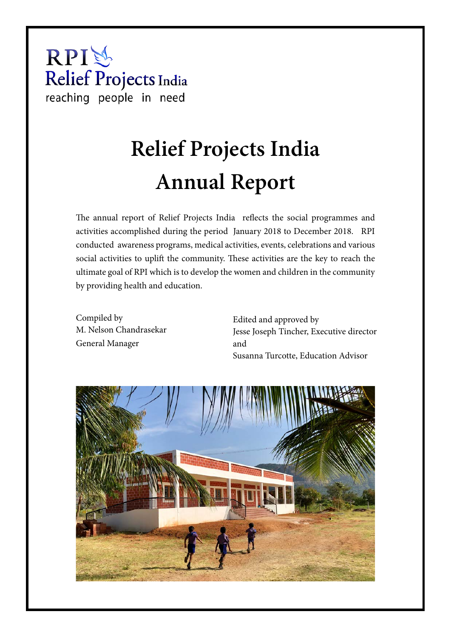# RPI总 Relief Projects India reaching people in need

# **Relief Projects India Annual Report**

The annual report of Relief Projects India reflects the social programmes and activities accomplished during the period January 2018 to December 2018. RPI conducted awareness programs, medical activities, events, celebrations and various social activities to uplift the community. These activities are the key to reach the ultimate goal of RPI which is to develop the women and children in the community by providing health and education.

Compiled by M. Nelson Chandrasekar General Manager

Edited and approved by Jesse Joseph Tincher, Executive director and Susanna Turcotte, Education Advisor

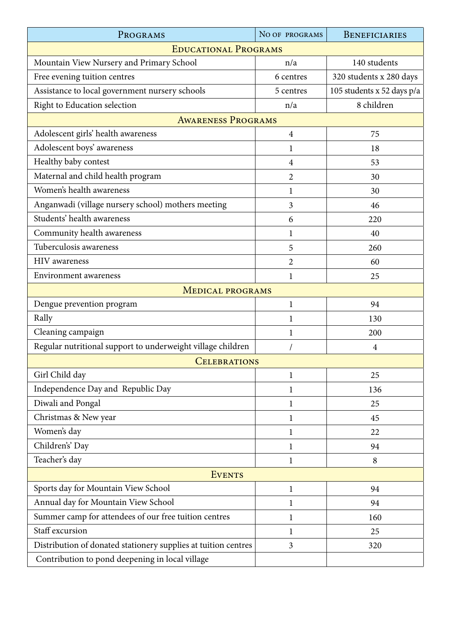| PROGRAMS                                                       | NO OF PROGRAMS | BENEFICIARIES              |
|----------------------------------------------------------------|----------------|----------------------------|
| <b>EDUCATIONAL PROGRAMS</b>                                    |                |                            |
| Mountain View Nursery and Primary School                       | n/a            | 140 students               |
| Free evening tuition centres                                   | 6 centres      | 320 students x 280 days    |
| Assistance to local government nursery schools                 | 5 centres      | 105 students x 52 days p/a |
| Right to Education selection                                   | n/a            | 8 children                 |
| <b>AWARENESS PROGRAMS</b>                                      |                |                            |
| Adolescent girls' health awareness                             | $\overline{4}$ | 75                         |
| Adolescent boys' awareness                                     | 1              | 18                         |
| Healthy baby contest                                           | $\overline{4}$ | 53                         |
| Maternal and child health program                              | $\overline{2}$ | 30                         |
| Women's health awareness                                       | 1              | 30                         |
| Anganwadi (village nursery school) mothers meeting             | 3              | 46                         |
| Students' health awareness                                     | 6              | 220                        |
| Community health awareness                                     | $\mathbf{1}$   | 40                         |
| Tuberculosis awareness                                         | 5              | 260                        |
| <b>HIV</b> awareness                                           | $\overline{2}$ | 60                         |
| <b>Environment</b> awareness                                   | $\mathbf{1}$   | 25                         |
| <b>MEDICAL PROGRAMS</b>                                        |                |                            |
| Dengue prevention program                                      | 1              | 94                         |
| Rally                                                          | 1              | 130                        |
| Cleaning campaign                                              | $\mathbf{1}$   | 200                        |
| Regular nutritional support to underweight village children    |                | $\overline{4}$             |
| <b>CELEBRATIONS</b>                                            |                |                            |
| Girl Child day                                                 | $\mathbf{1}$   | 25                         |
| Independence Day and Republic Day                              | 1              | 136                        |
| Diwali and Pongal                                              | $\mathbf{1}$   | 25                         |
| Christmas & New year                                           | 1              | 45                         |
| Women's day                                                    | 1              | 22                         |
| Children's' Day                                                | 1              | 94                         |
| Teacher's day                                                  | $\mathbf{1}$   | 8                          |
| <b>EVENTS</b>                                                  |                |                            |
| Sports day for Mountain View School                            | $\mathbf{1}$   | 94                         |
| Annual day for Mountain View School                            | $\mathbf{1}$   | 94                         |
| Summer camp for attendees of our free tuition centres          | $\mathbf{1}$   | 160                        |
| Staff excursion                                                | 1              | 25                         |
| Distribution of donated stationery supplies at tuition centres | 3              | 320                        |
| Contribution to pond deepening in local village                |                |                            |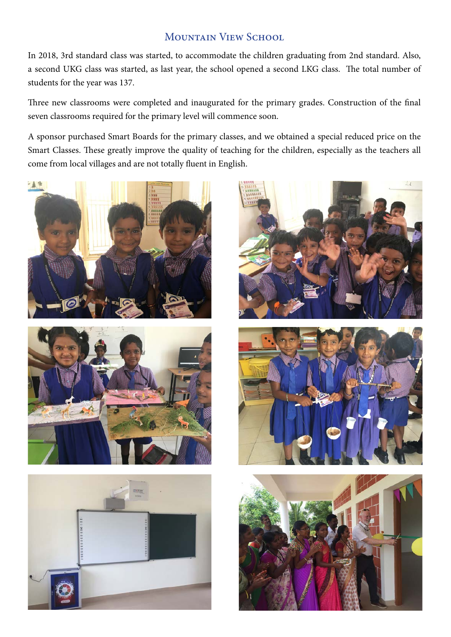# MOUNTAIN VIEW SCHOOL

In 2018, 3rd standard class was started, to accommodate the children graduating from 2nd standard. Also, a second UKG class was started, as last year, the school opened a second LKG class. The total number of students for the year was 137.

Three new classrooms were completed and inaugurated for the primary grades. Construction of the final seven classrooms required for the primary level will commence soon.

A sponsor purchased Smart Boards for the primary classes, and we obtained a special reduced price on the Smart Classes. These greatly improve the quality of teaching for the children, especially as the teachers all come from local villages and are not totally fluent in English.











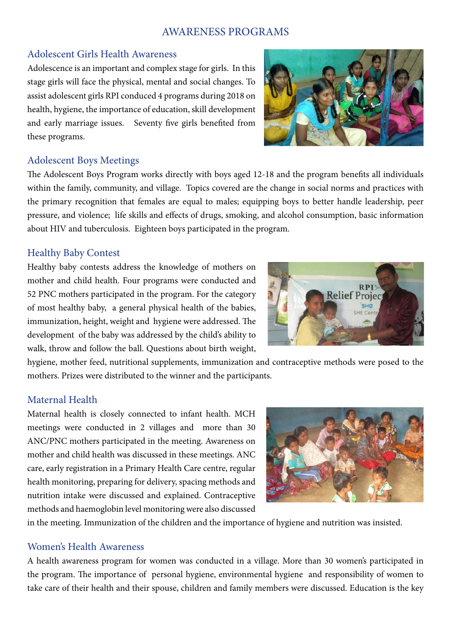# AWARENESS PROGRAMS

# Adolescent Girls Health Awareness

Adolescence is an important and complex stage for girls. In this stage girls will face the physical, mental and social changes. To assist adolescent girls RPI conduced 4 programs during 2018 on health, hygiene, the importance of education, skill development and early marriage issues. Seventy five girls benefited from these programs.

# Adolescent Boys Meetings

The Adolescent Boys Program works directly with boys aged 12-18 and the program benefits all individuals within the family, community, and village. Topics covered are the change in social norms and practices with the primary recognition that females are equal to males; equipping boys to better handle leadership, peer pressure, and violence; life skills and effects of drugs, smoking, and alcohol consumption, basic information about HIV and tuberculosis. Eighteen boys participated in the program.

# Healthy Baby Contest

Healthy baby contests address the knowledge of mothers on mother and child health. Four programs were conducted and 52 PNC mothers participated in the program. For the category of most healthy baby, a general physical health of the babies, immunization, height, weight and hygiene were addressed. The development of the baby was addressed by the child's ability to walk, throw and follow the ball. Questions about birth weight,

hygiene, mother feed, nutritional supplements, immunization and contraceptive methods were posed to the mothers. Prizes were distributed to the winner and the participants.

# Maternal Health

Maternal health is closely connected to infant health. MCH meetings were conducted in 2 villages and more than 30 ANC/PNC mothers participated in the meeting. Awareness on mother and child health was discussed in these meetings. ANC care, early registration in a Primary Health Care centre, regular health monitoring, preparing for delivery, spacing methods and nutrition intake were discussed and explained. Contraceptive methods and haemoglobin level monitoring were also discussed

in the meeting. Immunization of the children and the importance of hygiene and nutrition was insisted.

# Women's Health Awareness

A health awareness program for women was conducted in a village. More than 30 women's participated in the program. The importance of personal hygiene, environmental hygiene and responsibility of women to take care of their health and their spouse, children and family members were discussed. Education is the key



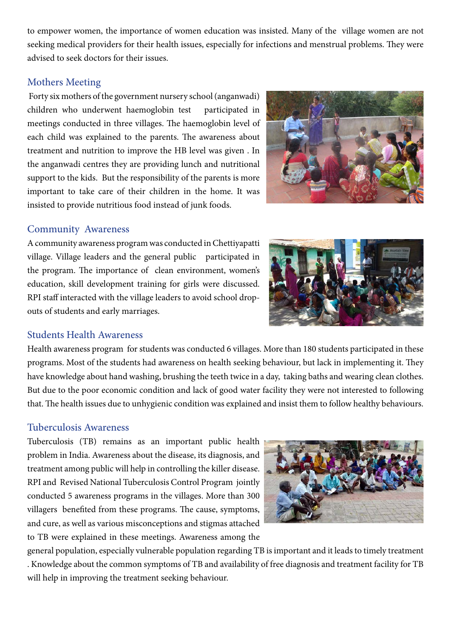to empower women, the importance of women education was insisted. Many of the village women are not seeking medical providers for their health issues, especially for infections and menstrual problems. They were advised to seek doctors for their issues.

# Mothers Meeting

 Forty six mothers of the government nursery school (anganwadi) children who underwent haemoglobin test participated in meetings conducted in three villages. The haemoglobin level of each child was explained to the parents. The awareness about treatment and nutrition to improve the HB level was given . In the anganwadi centres they are providing lunch and nutritional support to the kids. But the responsibility of the parents is more important to take care of their children in the home. It was insisted to provide nutritious food instead of junk foods.

# Community Awareness

A community awareness program was conducted in Chettiyapatti village. Village leaders and the general public participated in the program. The importance of clean environment, women's education, skill development training for girls were discussed. RPI staff interacted with the village leaders to avoid school dropouts of students and early marriages.

# Students Health Awareness

Health awareness program for students was conducted 6 villages. More than 180 students participated in these programs. Most of the students had awareness on health seeking behaviour, but lack in implementing it. They have knowledge about hand washing, brushing the teeth twice in a day, taking baths and wearing clean clothes. But due to the poor economic condition and lack of good water facility they were not interested to following that. The health issues due to unhygienic condition was explained and insist them to follow healthy behaviours.

# Tuberculosis Awareness

Tuberculosis (TB) remains as an important public health problem in India. Awareness about the disease, its diagnosis, and treatment among public will help in controlling the killer disease. RPI and Revised National Tuberculosis Control Program jointly conducted 5 awareness programs in the villages. More than 300 villagers benefited from these programs. The cause, symptoms, and cure, as well as various misconceptions and stigmas attached to TB were explained in these meetings. Awareness among the

general population, especially vulnerable population regarding TB is important and it leads to timely treatment . Knowledge about the common symptoms of TB and availability of free diagnosis and treatment facility for TB will help in improving the treatment seeking behaviour.





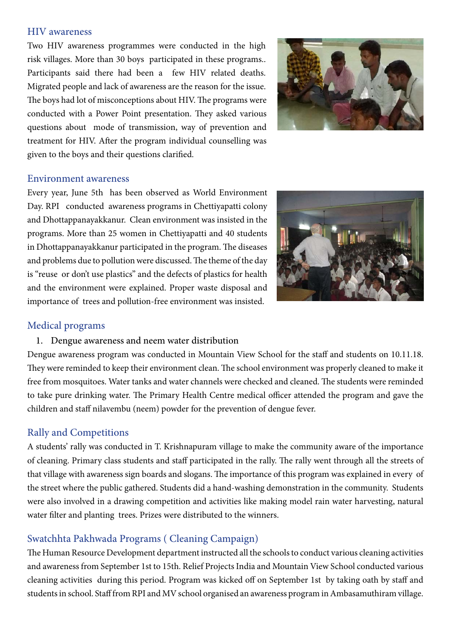#### HIV awareness

Two HIV awareness programmes were conducted in the high risk villages. More than 30 boys participated in these programs.. Participants said there had been a few HIV related deaths. Migrated people and lack of awareness are the reason for the issue. The boys had lot of misconceptions about HIV. The programs were conducted with a Power Point presentation. They asked various questions about mode of transmission, way of prevention and treatment for HIV. After the program individual counselling was given to the boys and their questions clarified.



#### Environment awareness

Every year, June 5th has been observed as World Environment Day. RPI conducted awareness programs in Chettiyapatti colony and Dhottappanayakkanur. Clean environment was insisted in the programs. More than 25 women in Chettiyapatti and 40 students in Dhottappanayakkanur participated in the program. The diseases and problems due to pollution were discussed. The theme of the day is "reuse or don't use plastics" and the defects of plastics for health and the environment were explained. Proper waste disposal and importance of trees and pollution-free environment was insisted.



# Medical programs

# 1. Dengue awareness and neem water distribution

Dengue awareness program was conducted in Mountain View School for the staff and students on 10.11.18. They were reminded to keep their environment clean. The school environment was properly cleaned to make it free from mosquitoes. Water tanks and water channels were checked and cleaned. The students were reminded to take pure drinking water. The Primary Health Centre medical officer attended the program and gave the children and staff nilavembu (neem) powder for the prevention of dengue fever.

# Rally and Competitions

A students' rally was conducted in T. Krishnapuram village to make the community aware of the importance of cleaning. Primary class students and staff participated in the rally. The rally went through all the streets of that village with awareness sign boards and slogans. The importance of this program was explained in every of the street where the public gathered. Students did a hand-washing demonstration in the community. Students were also involved in a drawing competition and activities like making model rain water harvesting, natural water filter and planting trees. Prizes were distributed to the winners.

# Swatchhta Pakhwada Programs ( Cleaning Campaign)

The Human Resource Development department instructed all the schools to conduct various cleaning activities and awareness from September 1st to 15th. Relief Projects India and Mountain View School conducted various cleaning activities during this period. Program was kicked off on September 1st by taking oath by staff and students in school. Staff from RPI and MV school organised an awareness program in Ambasamuthiram village.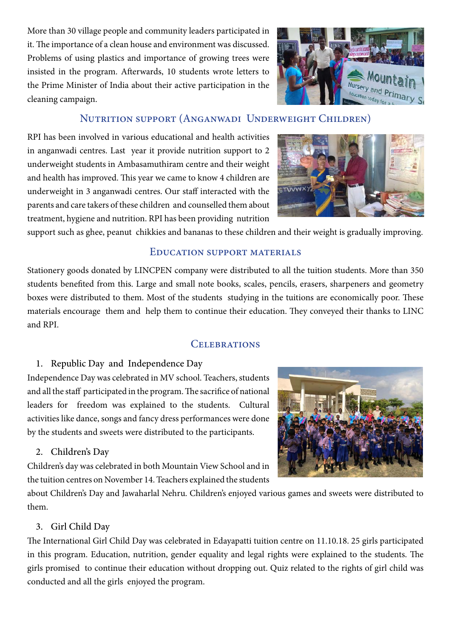More than 30 village people and community leaders participated in it. The importance of a clean house and environment was discussed. Problems of using plastics and importance of growing trees were insisted in the program. Afterwards, 10 students wrote letters to the Prime Minister of India about their active participation in the cleaning campaign.



# Nutrition support (Anganwadi Underweight Children)

RPI has been involved in various educational and health activities in anganwadi centres. Last year it provide nutrition support to 2 underweight students in Ambasamuthiram centre and their weight and health has improved. This year we came to know 4 children are underweight in 3 anganwadi centres. Our staff interacted with the parents and care takers of these children and counselled them about treatment, hygiene and nutrition. RPI has been providing nutrition



support such as ghee, peanut chikkies and bananas to these children and their weight is gradually improving.

#### Education support materials

Stationery goods donated by LINCPEN company were distributed to all the tuition students. More than 350 students benefited from this. Large and small note books, scales, pencils, erasers, sharpeners and geometry boxes were distributed to them. Most of the students studying in the tuitions are economically poor. These materials encourage them and help them to continue their education. They conveyed their thanks to LINC and RPI.

# CELEBRATIONS

# 1. Republic Day and Independence Day

Independence Day was celebrated in MV school. Teachers, students and all the staff participated in the program. The sacrifice of national leaders for freedom was explained to the students. Cultural activities like dance, songs and fancy dress performances were done by the students and sweets were distributed to the participants.

# 2. Children's Day

Children's day was celebrated in both Mountain View School and in the tuition centres on November 14. Teachers explained the students



about Children's Day and Jawaharlal Nehru. Children's enjoyed various games and sweets were distributed to them.

# 3. Girl Child Day

The International Girl Child Day was celebrated in Edayapatti tuition centre on 11.10.18. 25 girls participated in this program. Education, nutrition, gender equality and legal rights were explained to the students. The girls promised to continue their education without dropping out. Quiz related to the rights of girl child was conducted and all the girls enjoyed the program.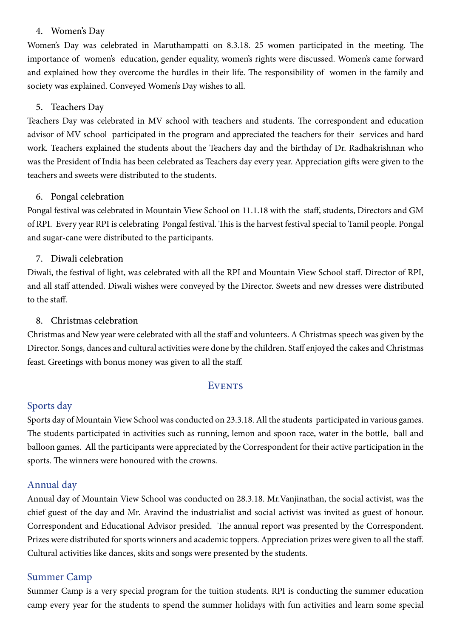#### 4. Women's Day

Women's Day was celebrated in Maruthampatti on 8.3.18. 25 women participated in the meeting. The importance of women's education, gender equality, women's rights were discussed. Women's came forward and explained how they overcome the hurdles in their life. The responsibility of women in the family and society was explained. Conveyed Women's Day wishes to all.

# 5. Teachers Day

Teachers Day was celebrated in MV school with teachers and students. The correspondent and education advisor of MV school participated in the program and appreciated the teachers for their services and hard work. Teachers explained the students about the Teachers day and the birthday of Dr. Radhakrishnan who was the President of India has been celebrated as Teachers day every year. Appreciation gifts were given to the teachers and sweets were distributed to the students.

# 6. Pongal celebration

Pongal festival was celebrated in Mountain View School on 11.1.18 with the staff, students, Directors and GM of RPI. Every year RPI is celebrating Pongal festival. This is the harvest festival special to Tamil people. Pongal and sugar-cane were distributed to the participants.

# 7. Diwali celebration

Diwali, the festival of light, was celebrated with all the RPI and Mountain View School staff. Director of RPI, and all staff attended. Diwali wishes were conveyed by the Director. Sweets and new dresses were distributed to the staff.

# 8. Christmas celebration

Christmas and New year were celebrated with all the staff and volunteers. A Christmas speech was given by the Director. Songs, dances and cultural activities were done by the children. Staff enjoyed the cakes and Christmas feast. Greetings with bonus money was given to all the staff.

# **EVENTS**

# Sports day

Sports day of Mountain View School was conducted on 23.3.18. All the students participated in various games. The students participated in activities such as running, lemon and spoon race, water in the bottle, ball and balloon games. All the participants were appreciated by the Correspondent for their active participation in the sports. The winners were honoured with the crowns.

# Annual day

Annual day of Mountain View School was conducted on 28.3.18. Mr.Vanjinathan, the social activist, was the chief guest of the day and Mr. Aravind the industrialist and social activist was invited as guest of honour. Correspondent and Educational Advisor presided. The annual report was presented by the Correspondent. Prizes were distributed for sports winners and academic toppers. Appreciation prizes were given to all the staff. Cultural activities like dances, skits and songs were presented by the students.

# Summer Camp

Summer Camp is a very special program for the tuition students. RPI is conducting the summer education camp every year for the students to spend the summer holidays with fun activities and learn some special